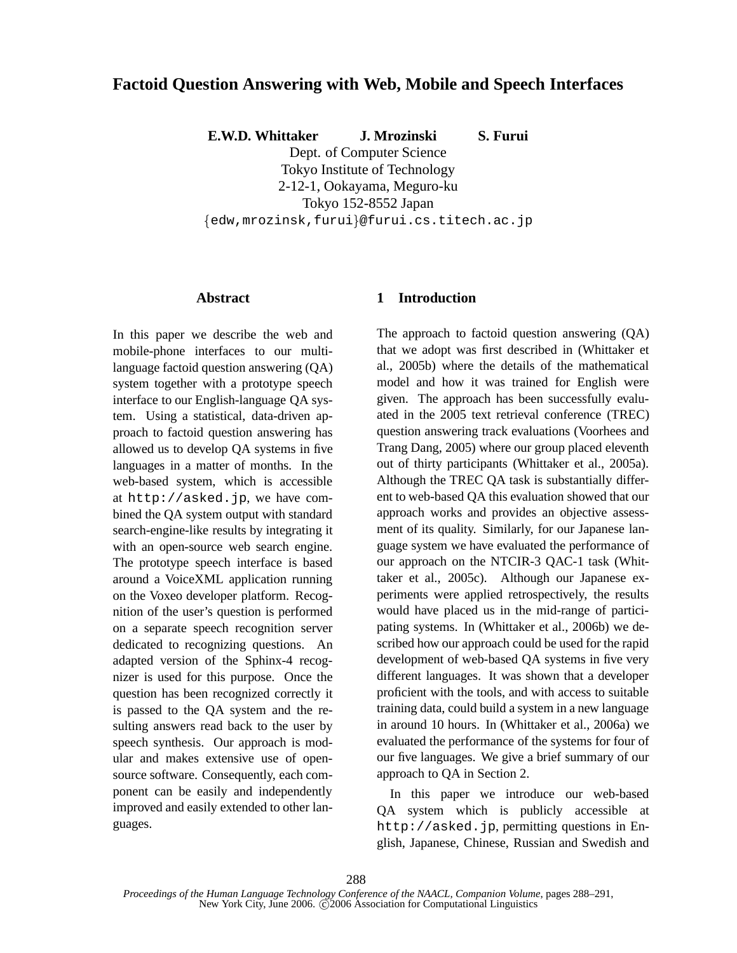# **Factoid Question Answering with Web, Mobile and Speech Interfaces**

**E.W.D. Whittaker J. Mrozinski S. Furui**

Dept. of Computer Science Tokyo Institute of Technology 2-12-1, Ookayama, Meguro-ku Tokyo 152-8552 Japan  $\{\hspace{-.05cm}$ edw,mrozinsk,furui $\}$ @furui.cs.titech.ac.jp

## **Abstract**

In this paper we describe the web and mobile-phone interfaces to our multilanguage factoid question answering (QA) system together with a prototype speech interface to our English-language QA system. Using a statistical, data-driven approach to factoid question answering has allowed us to develop QA systems in five languages in a matter of months. In the web-based system, which is accessible at http://asked.jp, we have combined the QA system output with standard search-engine-like results by integrating it with an open-source web search engine. The prototype speech interface is based around a VoiceXML application running on the Voxeo developer platform. Recognition of the user's question is performed on a separate speech recognition server dedicated to recognizing questions. An adapted version of the Sphinx-4 recognizer is used for this purpose. Once the question has been recognized correctly it is passed to the QA system and the resulting answers read back to the user by speech synthesis. Our approach is modular and makes extensive use of opensource software. Consequently, each component can be easily and independently improved and easily extended to other languages.

## **1 Introduction**

The approach to factoid question answering (QA) that we adopt was first described in (Whittaker et al., 2005b) where the details of the mathematical model and how it was trained for English were given. The approach has been successfully evaluated in the 2005 text retrieval conference (TREC) question answering track evaluations (Voorhees and Trang Dang, 2005) where our group placed eleventh out of thirty participants (Whittaker et al., 2005a). Although the TREC QA task is substantially different to web-based QA this evaluation showed that our approach works and provides an objective assessment of its quality. Similarly, for our Japanese language system we have evaluated the performance of our approach on the NTCIR-3 QAC-1 task (Whittaker et al., 2005c). Although our Japanese experiments were applied retrospectively, the results would have placed us in the mid-range of participating systems. In (Whittaker et al., 2006b) we described how our approach could be used for the rapid development of web-based QA systems in five very different languages. It was shown that a developer proficient with the tools, and with access to suitable training data, could build a system in a new language in around 10 hours. In (Whittaker et al., 2006a) we evaluated the performance of the systems for four of our five languages. We give a brief summary of our approach to QA in Section 2.

In this paper we introduce our web-based QA system which is publicly accessible at http://asked.jp, permitting questions in English, Japanese, Chinese, Russian and Swedish and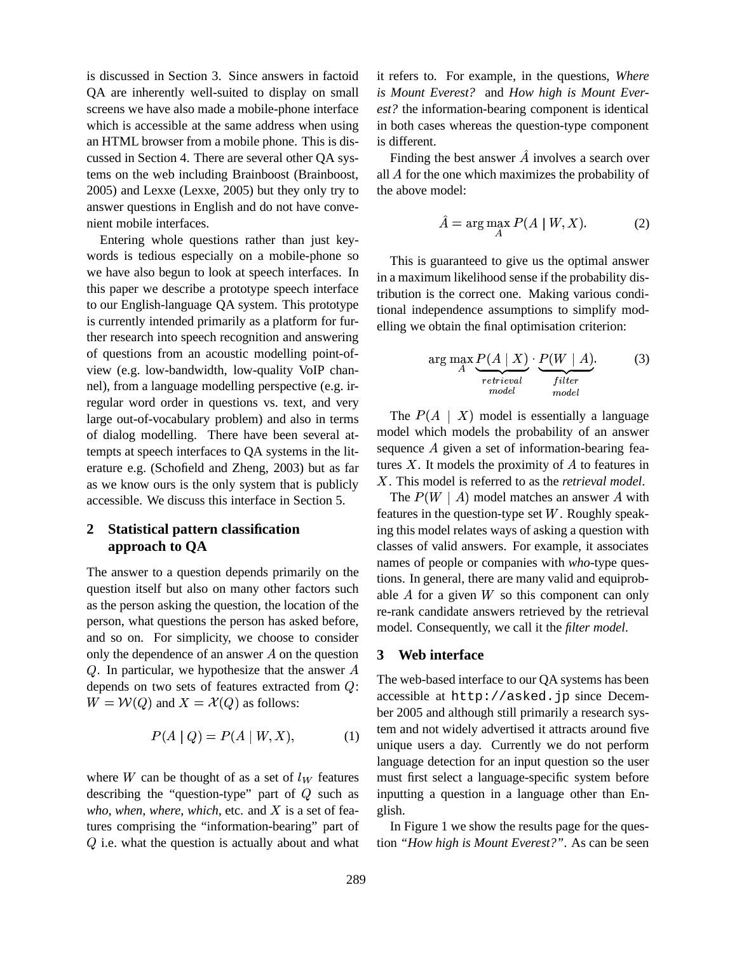is discussed in Section 3. Since answers in factoid QA are inherently well-suited to display on small screens we have also made a mobile-phone interface which is accessible at the same address when using an HTML browser from a mobile phone. This is discussed in Section 4. There are several other QA systems on the web including Brainboost (Brainboost, 2005) and Lexxe (Lexxe, 2005) but they only try to answer questions in English and do not have convenient mobile interfaces.

Entering whole questions rather than just keywords is tedious especially on a mobile-phone so we have also begun to look at speech interfaces. In this paper we describe a prototype speech interface to our English-language QA system. This prototype is currently intended primarily as a platform for further research into speech recognition and answering of questions from an acoustic modelling point-ofview (e.g. low-bandwidth, low-quality VoIP channel), from a language modelling perspective (e.g. irregular word order in questions vs. text, and very large out-of-vocabulary problem) and also in terms of dialog modelling. There have been several attempts at speech interfaces to QA systems in the literature e.g. (Schofield and Zheng, 2003) but as far as we know ours is the only system that is publicly accessible. We discuss this interface in Section 5.

# **2 Statistical pattern classification approach to QA**

The answer to a question depends primarily on the question itself but also on many other factors such as the person asking the question, the location of the person, what questions the person has asked before, and so on. For simplicity, we choose to consider only the dependence of an answer  $A$  on the question Q. In particular, we hypothesize that the answer  $A$ depends on two sets of features extracted from  $Q$ : The web-ba  $W = \mathcal{W}(Q)$  and  $X = \mathcal{X}(Q)$  as follows:

$$
P(A \mid Q) = P(A \mid W, X), \tag{1}
$$

where W can be thought of as a set of  $l_W$  features must describing the "question-type" part of  $Q$  such as inp *who*, *when*, *where*, *which*, etc. and  $X$  is a set of features comprising the "information-bearing" part of  $Q$  i.e. what the question is actually about and what

it refers to. For example, in the questions, *Where is Mount Everest?* and *How high is Mount Everest?* the information-bearing component is identical in both cases whereas the question-type component is different.

Finding the best answer  $\hat{A}$  involves a search over all  $A$  for the one which maximizes the probability of the above model:

$$
\hat{A} = \arg\max_{A} P(A \mid W, X). \tag{2}
$$

This is guaranteed to give us the optimal answer in a maximum likelihood sense if the probability distribution is the correct one. Making various conditional independence assumptions to simplify modelling we obtain the final optimisation criterion:

$$
\arg\max_{A} \frac{P(A \mid X)}{r_{etrieval}} \cdot \underbrace{P(W \mid A)}_{fitter}.
$$
 (3)

The  $P(A \mid X)$  model is essentially a language model which models the probability of an answer sequence  $A$  given a set of information-bearing features  $X$ . It models the proximity of  $A$  to features in . This model is referred to as the *retrieval model*.

The  $P(W \mid A)$  model matches an answer A with features in the question-type set  $W$ . Roughly speaking this model relates ways of asking a question with classes of valid answers. For example, it associates names of people or companies with *who*-type questions. In general, there are many valid and equiprobable  $A$  for a given  $W$  so this component can only re-rank candidate answers retrieved by the retrieval model. Consequently, we call it the *filter model*.

## **3 Web interface**

The web-based interface to our QA systems has been accessible at http://asked.jp since December 2005 and although still primarily a research system and not widely advertised it attracts around five unique users a day. Currently we do not perform language detection for an input question so the user must first select a language-specific system before inputting a question in a language other than English.

In Figure 1 we show the results page for the question *"How high is Mount Everest?"*. As can be seen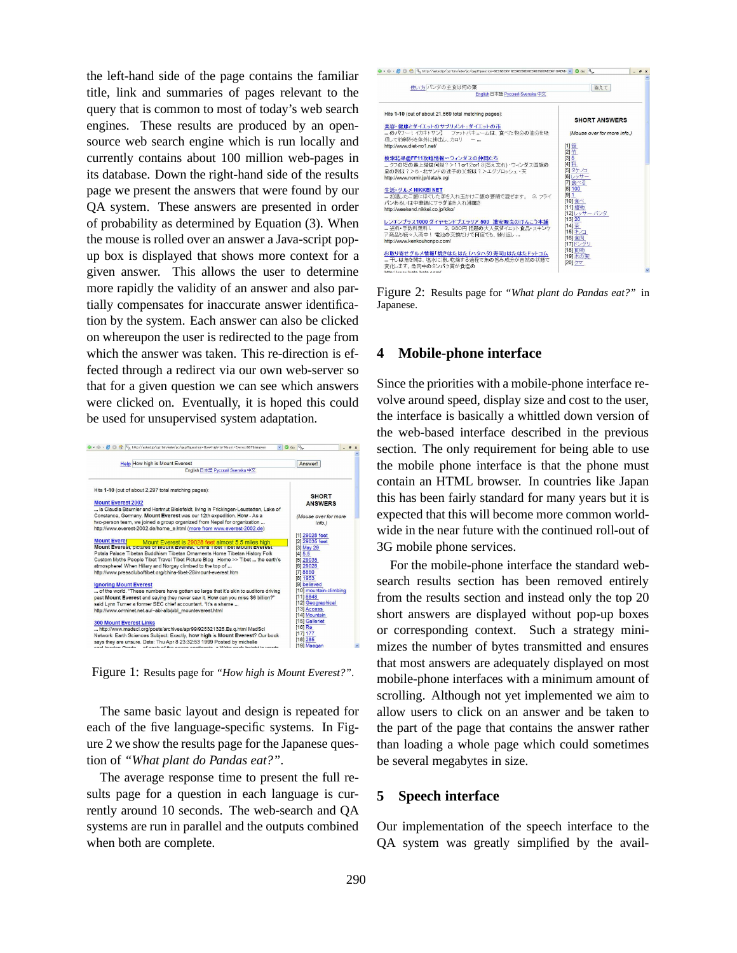the left-hand side of the page contains the familiar title, link and summaries of pages relevant to the query that is common to most of today's web search engines. These results are produced by an opensource web search engine which is run locally and currently contains about 100 million web-pages in its database. Down the right-hand side of the results page we present the answers that were found by our QA system. These answers are presented in order of probability as determined by Equation (3). When the mouse is rolled over an answer a Java-script popup box is displayed that shows more context for a given answer. This allows the user to determine more rapidly the validity of an answer and also partially compensates for inaccurate answer identification by the system. Each answer can also be clicked on whereupon the user is redirected to the page from which the answer was taken. This re-direction is effected through a redirect via our own web-server so that for a given question we can see which answers were clicked on. Eventually, it is hoped this could be used for unsupervised system adaptation.



Figure 1: Results page for *"How high is Mount Everest?"*.

The same basic layout and design is repeated for each of the five language-specific systems. In Figure 2 we show the results page for the Japanese question of *"What plant do Pandas eat?"*.

The average response time to present the full results page for a question in each language is currently around 10 seconds. The web-search and QA systems are run in parallel and the outputs combined when both are complete.



Figure 2: Results page for *"What plant do Pandas eat?"* in Japanese.

### **4 Mobile-phone interface**

Since the priorities with a mobile-phone interface revolve around speed, display size and cost to the user, the interface is basically a whittled down version of the web-based interface described in the previous section. The only requirement for being able to use the mobile phone interface is that the phone must contain an HTML browser. In countries like Japan this has been fairly standard for many years but it is expected that this will become more common worldwide in the near future with the continued roll-out of 3G mobile phone services.

For the mobile-phone interface the standard websearch results section has been removed entirely from the results section and instead only the top 20 short answers are displayed without pop-up boxes or corresponding context. Such a strategy minimizes the number of bytes transmitted and ensures that most answers are adequately displayed on most mobile-phone interfaces with a minimum amount of scrolling. Although not yet implemented we aim to allow users to click on an answer and be taken to the part of the page that contains the answer rather than loading a whole page which could sometimes be several megabytes in size.

#### **5 Speech interface**

Our implementation of the speech interface to the QA system was greatly simplified by the avail